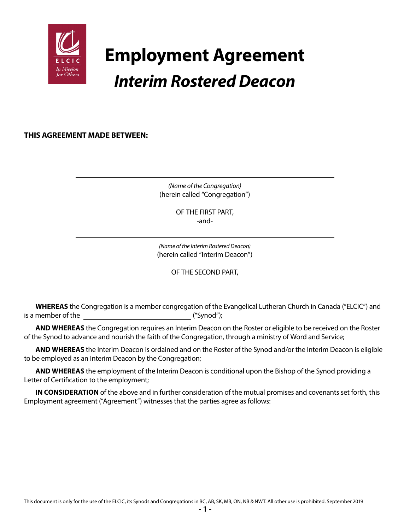

# **Employment Agreement** *Interim Rostered Deacon*

**THIS AGREEMENT MADE BETWEEN:**

*(Name of the Congregation)* (herein called "Congregation")

> OF THE FIRST PART, -and-

*(Name of the Interim Rostered Deacon)* (herein called "Interim Deacon")

OF THE SECOND PART,

**WHEREAS** the Congregation is a member congregation of the Evangelical Lutheran Church in Canada ("ELCIC") and is a member of the  $($ "Synod");

**AND WHEREAS** the Congregation requires an Interim Deacon on the Roster or eligible to be received on the Roster of the Synod to advance and nourish the faith of the Congregation, through a ministry of Word and Service;

**AND WHEREAS** the Interim Deacon is ordained and on the Roster of the Synod and/or the Interim Deacon is eligible to be employed as an Interim Deacon by the Congregation;

**AND WHEREAS** the employment of the Interim Deacon is conditional upon the Bishop of the Synod providing a Letter of Certification to the employment;

**IN CONSIDERATION** of the above and in further consideration of the mutual promises and covenants set forth, this Employment agreement ("Agreement") witnesses that the parties agree as follows: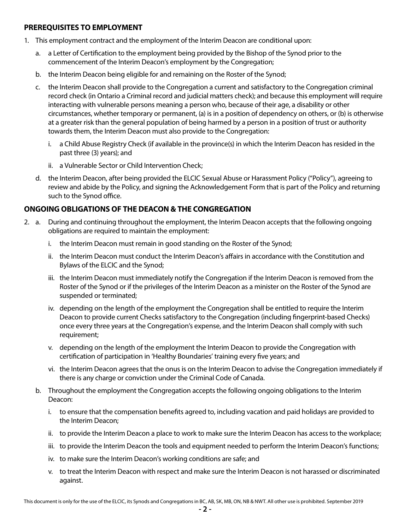## **PREREQUISITES TO EMPLOYMENT**

- 1. This employment contract and the employment of the Interim Deacon are conditional upon:
	- a. a Letter of Certification to the employment being provided by the Bishop of the Synod prior to the commencement of the Interim Deacon's employment by the Congregation;
	- b. the Interim Deacon being eligible for and remaining on the Roster of the Synod;
	- c. the Interim Deacon shall provide to the Congregation a current and satisfactory to the Congregation criminal record check (in Ontario a Criminal record and judicial matters check); and because this employment will require interacting with vulnerable persons meaning a person who, because of their age, a disability or other circumstances, whether temporary or permanent, (a) is in a position of dependency on others, or (b) is otherwise at a greater risk than the general population of being harmed by a person in a position of trust or authority towards them, the Interim Deacon must also provide to the Congregation:
		- i. a Child Abuse Registry Check (if available in the province(s) in which the Interim Deacon has resided in the past three (3) years); and
		- ii. a Vulnerable Sector or Child Intervention Check;
	- d. the Interim Deacon, after being provided the ELCIC Sexual Abuse or Harassment Policy ("Policy"), agreeing to review and abide by the Policy, and signing the Acknowledgement Form that is part of the Policy and returning such to the Synod office.

# **ONGOING OBLIGATIONS OF THE DEACON & THE CONGREGATION**

- 2. a. During and continuing throughout the employment, the Interim Deacon accepts that the following ongoing obligations are required to maintain the employment:
	- i. the Interim Deacon must remain in good standing on the Roster of the Synod;
	- ii. the Interim Deacon must conduct the Interim Deacon's affairs in accordance with the Constitution and Bylaws of the ELCIC and the Synod;
	- iii. the Interim Deacon must immediately notify the Congregation if the Interim Deacon is removed from the Roster of the Synod or if the privileges of the Interim Deacon as a minister on the Roster of the Synod are suspended or terminated;
	- iv. depending on the length of the employment the Congregation shall be entitled to require the Interim Deacon to provide current Checks satisfactory to the Congregation (including fingerprint-based Checks) once every three years at the Congregation's expense, and the Interim Deacon shall comply with such requirement;
	- v. depending on the length of the employment the Interim Deacon to provide the Congregation with certification of participation in 'Healthy Boundaries' training every five years; and
	- vi. the Interim Deacon agrees that the onus is on the Interim Deacon to advise the Congregation immediately if there is any charge or conviction under the Criminal Code of Canada.
	- b. Throughout the employment the Congregation accepts the following ongoing obligations to the Interim Deacon:
		- i. to ensure that the compensation benefits agreed to, including vacation and paid holidays are provided to the Interim Deacon;
		- ii. to provide the Interim Deacon a place to work to make sure the Interim Deacon has access to the workplace;
		- iii. to provide the Interim Deacon the tools and equipment needed to perform the Interim Deacon's functions;
		- iv. to make sure the Interim Deacon's working conditions are safe; and
		- v. to treat the Interim Deacon with respect and make sure the Interim Deacon is not harassed or discriminated against.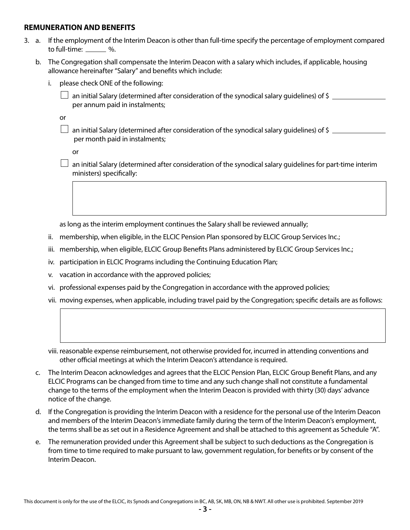#### **REMUNERATION AND BENEFITS**

- 3. a. If the employment of the Interim Deacon is other than full-time specify the percentage of employment compared to full-time:  $\frac{1}{2}$ %.
	- b. The Congregation shall compensate the Interim Deacon with a salary which includes, if applicable, housing allowance hereinafter "Salary" and benefits which include:
		- i. please check ONE of the following:
			- an initial Salary (determined after consideration of the synodical salary quidelines) of \$ per annum paid in instalments;

or

 $\Box$  an initial Salary (determined after consideration of the synodical salary guidelines) of \$ per month paid in instalments;

or

 $\Box$  an initial Salary (determined after consideration of the synodical salary guidelines for part-time interim ministers) specifically:

as long as the interim employment continues the Salary shall be reviewed annually;

- ii. membership, when eligible, in the ELCIC Pension Plan sponsored by ELCIC Group Services Inc.;
- iii. membership, when eligible, ELCIC Group Benefits Plans administered by ELCIC Group Services Inc.;
- iv. participation in ELCIC Programs including the Continuing Education Plan;
- v. vacation in accordance with the approved policies;
- vi. professional expenses paid by the Congregation in accordance with the approved policies;
- vii. moving expenses, when applicable, including travel paid by the Congregation; specific details are as follows:
- viii. reasonable expense reimbursement, not otherwise provided for, incurred in attending conventions and other official meetings at which the Interim Deacon's attendance is required.
- c. The Interim Deacon acknowledges and agrees that the ELCIC Pension Plan, ELCIC Group Benefit Plans, and any ELCIC Programs can be changed from time to time and any such change shall not constitute a fundamental change to the terms of the employment when the Interim Deacon is provided with thirty (30) days' advance notice of the change.
- d. If the Congregation is providing the Interim Deacon with a residence for the personal use of the Interim Deacon and members of the Interim Deacon's immediate family during the term of the Interim Deacon's employment, the terms shall be as set out in a Residence Agreement and shall be attached to this agreement as Schedule "A".
- e. The remuneration provided under this Agreement shall be subject to such deductions as the Congregation is from time to time required to make pursuant to law, government regulation, for benefits or by consent of the Interim Deacon.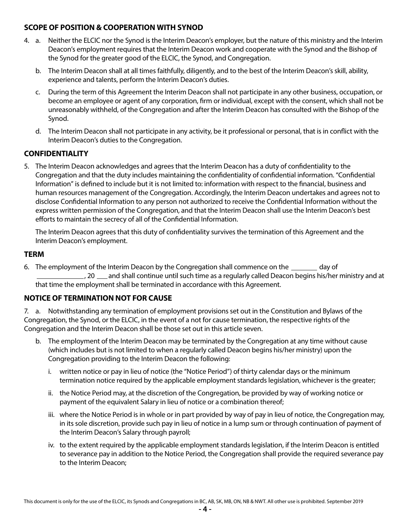# **SCOPE OF POSITION & COOPERATION WITH SYNOD**

- 4. a. Neither the ELCIC nor the Synod is the Interim Deacon's employer, but the nature of this ministry and the Interim Deacon's employment requires that the Interim Deacon work and cooperate with the Synod and the Bishop of the Synod for the greater good of the ELCIC, the Synod, and Congregation.
	- b. The Interim Deacon shall at all times faithfully, diligently, and to the best of the Interim Deacon's skill, ability, experience and talents, perform the Interim Deacon's duties.
	- c. During the term of this Agreement the Interim Deacon shall not participate in any other business, occupation, or become an employee or agent of any corporation, firm or individual, except with the consent, which shall not be unreasonably withheld, of the Congregation and after the Interim Deacon has consulted with the Bishop of the Synod.
	- d. The Interim Deacon shall not participate in any activity, be it professional or personal, that is in conflict with the Interim Deacon's duties to the Congregation.

# **CONFIDENTIALITY**

5. The Interim Deacon acknowledges and agrees that the Interim Deacon has a duty of confidentiality to the Congregation and that the duty includes maintaining the confidentiality of confidential information. "Confidential Information" is defined to include but it is not limited to: information with respect to the financial, business and human resources management of the Congregation. Accordingly, the Interim Deacon undertakes and agrees not to disclose Confidential Information to any person not authorized to receive the Confidential Information without the express written permission of the Congregation, and that the Interim Deacon shall use the Interim Deacon's best efforts to maintain the secrecy of all of the Confidential Information.

The Interim Deacon agrees that this duty of confidentiality survives the termination of this Agreement and the Interim Deacon's employment.

## **TERM**

6. The employment of the Interim Deacon by the Congregation shall commence on the <u>same day</u> of <sub>-</sub>, 20 <sub>--</sub> and shall continue until such time as a regularly called Deacon begins his/her ministry and at that time the employment shall be terminated in accordance with this Agreement.

# **NOTICE OF TERMINATION NOT FOR CAUSE**

7. a. Notwithstanding any termination of employment provisions set out in the Constitution and Bylaws of the Congregation, the Synod, or the ELCIC, in the event of a not for cause termination, the respective rights of the Congregation and the Interim Deacon shall be those set out in this article seven.

- b. The employment of the Interim Deacon may be terminated by the Congregation at any time without cause (which includes but is not limited to when a regularly called Deacon begins his/her ministry) upon the Congregation providing to the Interim Deacon the following:
	- i. written notice or pay in lieu of notice (the "Notice Period") of thirty calendar days or the minimum termination notice required by the applicable employment standards legislation, whichever is the greater;
	- ii. the Notice Period may, at the discretion of the Congregation, be provided by way of working notice or payment of the equivalent Salary in lieu of notice or a combination thereof;
	- iii. where the Notice Period is in whole or in part provided by way of pay in lieu of notice, the Congregation may, in its sole discretion, provide such pay in lieu of notice in a lump sum or through continuation of payment of the Interim Deacon's Salary through payroll;
	- iv. to the extent required by the applicable employment standards legislation, if the Interim Deacon is entitled to severance pay in addition to the Notice Period, the Congregation shall provide the required severance pay to the Interim Deacon;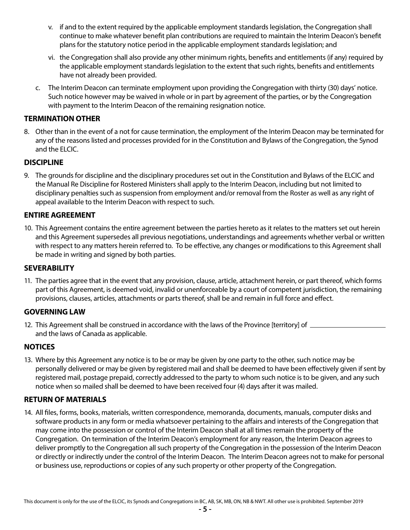- v. if and to the extent required by the applicable employment standards legislation, the Congregation shall continue to make whatever benefit plan contributions are required to maintain the Interim Deacon's benefit plans for the statutory notice period in the applicable employment standards legislation; and
- vi. the Congregation shall also provide any other minimum rights, benefits and entitlements (if any) required by the applicable employment standards legislation to the extent that such rights, benefits and entitlements have not already been provided.
- c. The Interim Deacon can terminate employment upon providing the Congregation with thirty (30) days' notice. Such notice however may be waived in whole or in part by agreement of the parties, or by the Congregation with payment to the Interim Deacon of the remaining resignation notice.

# **TERMINATION OTHER**

8. Other than in the event of a not for cause termination, the employment of the Interim Deacon may be terminated for any of the reasons listed and processes provided for in the Constitution and Bylaws of the Congregation, the Synod and the ELCIC.

#### **DISCIPLINE**

9. The grounds for discipline and the disciplinary procedures set out in the Constitution and Bylaws of the ELCIC and the Manual Re Discipline for Rostered Ministers shall apply to the Interim Deacon, including but not limited to disciplinary penalties such as suspension from employment and/or removal from the Roster as well as any right of appeal available to the Interim Deacon with respect to such.

## **ENTIRE AGREEMENT**

10. This Agreement contains the entire agreement between the parties hereto as it relates to the matters set out herein and this Agreement supersedes all previous negotiations, understandings and agreements whether verbal or written with respect to any matters herein referred to. To be effective, any changes or modifications to this Agreement shall be made in writing and signed by both parties.

#### **SEVERABILITY**

11. The parties agree that in the event that any provision, clause, article, attachment herein, or part thereof, which forms part of this Agreement, is deemed void, invalid or unenforceable by a court of competent jurisdiction, the remaining provisions, clauses, articles, attachments or parts thereof, shall be and remain in full force and effect.

#### **GOVERNING LAW**

12. This Agreement shall be construed in accordance with the laws of the Province [territory] of and the laws of Canada as applicable.

#### **NOTICES**

13. Where by this Agreement any notice is to be or may be given by one party to the other, such notice may be personally delivered or may be given by registered mail and shall be deemed to have been effectively given if sent by registered mail, postage prepaid, correctly addressed to the party to whom such notice is to be given, and any such notice when so mailed shall be deemed to have been received four (4) days after it was mailed.

#### **RETURN OF MATERIALS**

14. All files, forms, books, materials, written correspondence, memoranda, documents, manuals, computer disks and software products in any form or media whatsoever pertaining to the affairs and interests of the Congregation that may come into the possession or control of the Interim Deacon shall at all times remain the property of the Congregation. On termination of the Interim Deacon's employment for any reason, the Interim Deacon agrees to deliver promptly to the Congregation all such property of the Congregation in the possession of the Interim Deacon or directly or indirectly under the control of the Interim Deacon. The Interim Deacon agrees not to make for personal or business use, reproductions or copies of any such property or other property of the Congregation.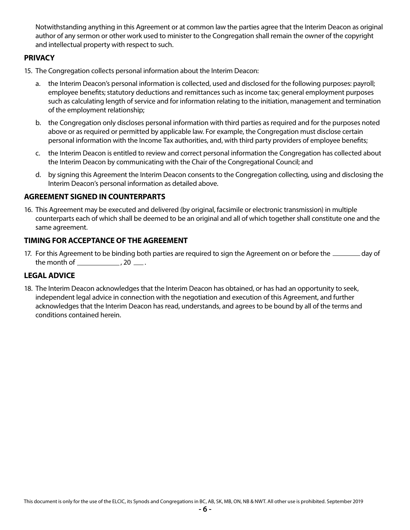Notwithstanding anything in this Agreement or at common law the parties agree that the Interim Deacon as original author of any sermon or other work used to minister to the Congregation shall remain the owner of the copyright and intellectual property with respect to such.

# **PRIVACY**

- 15. The Congregation collects personal information about the Interim Deacon:
	- a. the Interim Deacon's personal information is collected, used and disclosed for the following purposes: payroll; employee benefits; statutory deductions and remittances such as income tax; general employment purposes such as calculating length of service and for information relating to the initiation, management and termination of the employment relationship;
	- b. the Congregation only discloses personal information with third parties as required and for the purposes noted above or as required or permitted by applicable law. For example, the Congregation must disclose certain personal information with the Income Tax authorities, and, with third party providers of employee benefits;
	- c. the Interim Deacon is entitled to review and correct personal information the Congregation has collected about the Interim Deacon by communicating with the Chair of the Congregational Council; and
	- d. by signing this Agreement the Interim Deacon consents to the Congregation collecting, using and disclosing the Interim Deacon's personal information as detailed above.

#### **AGREEMENT SIGNED IN COUNTERPARTS**

16. This Agreement may be executed and delivered (by original, facsimile or electronic transmission) in multiple counterparts each of which shall be deemed to be an original and all of which together shall constitute one and the same agreement.

#### **TIMING FOR ACCEPTANCE OF THE AGREEMENT**

17. For this Agreement to be binding both parties are required to sign the Agreement on or before the **suce and a** day of the month of  $\frac{1}{2}$ , 20  $\frac{1}{2}$ .

# **LEGAL ADVICE**

18. The Interim Deacon acknowledges that the Interim Deacon has obtained, or has had an opportunity to seek, independent legal advice in connection with the negotiation and execution of this Agreement, and further acknowledges that the Interim Deacon has read, understands, and agrees to be bound by all of the terms and conditions contained herein.